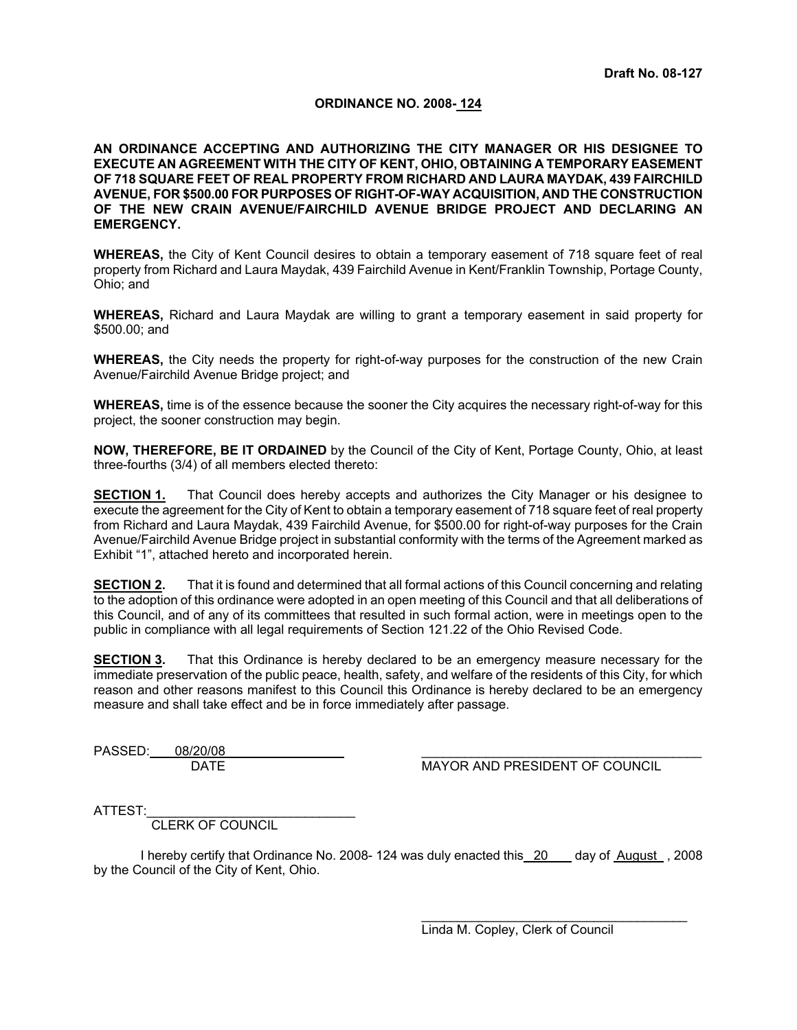## **ORDINANCE NO. 2008- 124**

**AN ORDINANCE ACCEPTING AND AUTHORIZING THE CITY MANAGER OR HIS DESIGNEE TO EXECUTE AN AGREEMENT WITH THE CITY OF KENT, OHIO, OBTAINING A TEMPORARY EASEMENT OF 718 SQUARE FEET OF REAL PROPERTY FROM RICHARD AND LAURA MAYDAK, 439 FAIRCHILD AVENUE, FOR \$500.00 FOR PURPOSES OF RIGHT-OF-WAY ACQUISITION, AND THE CONSTRUCTION OF THE NEW CRAIN AVENUE/FAIRCHILD AVENUE BRIDGE PROJECT AND DECLARING AN EMERGENCY.** 

**WHEREAS,** the City of Kent Council desires to obtain a temporary easement of 718 square feet of real property from Richard and Laura Maydak, 439 Fairchild Avenue in Kent/Franklin Township, Portage County, Ohio; and

**WHEREAS,** Richard and Laura Maydak are willing to grant a temporary easement in said property for \$500.00; and

**WHEREAS,** the City needs the property for right-of-way purposes for the construction of the new Crain Avenue/Fairchild Avenue Bridge project; and

**WHEREAS,** time is of the essence because the sooner the City acquires the necessary right-of-way for this project, the sooner construction may begin.

**NOW, THEREFORE, BE IT ORDAINED** by the Council of the City of Kent, Portage County, Ohio, at least three-fourths (3/4) of all members elected thereto:

**SECTION 1.** That Council does hereby accepts and authorizes the City Manager or his designee to execute the agreement for the City of Kent to obtain a temporary easement of 718 square feet of real property from Richard and Laura Maydak, 439 Fairchild Avenue, for \$500.00 for right-of-way purposes for the Crain Avenue/Fairchild Avenue Bridge project in substantial conformity with the terms of the Agreement marked as Exhibit "1", attached hereto and incorporated herein.

**SECTION 2.** That it is found and determined that all formal actions of this Council concerning and relating to the adoption of this ordinance were adopted in an open meeting of this Council and that all deliberations of this Council, and of any of its committees that resulted in such formal action, were in meetings open to the public in compliance with all legal requirements of Section 121.22 of the Ohio Revised Code.

**SECTION 3.** That this Ordinance is hereby declared to be an emergency measure necessary for the immediate preservation of the public peace, health, safety, and welfare of the residents of this City, for which reason and other reasons manifest to this Council this Ordinance is hereby declared to be an emergency measure and shall take effect and be in force immediately after passage.

PASSED: 08/20/08

DATE MAYOR AND PRESIDENT OF COUNCIL

ATTEST:

CLERK OF COUNCIL

I hereby certify that Ordinance No. 2008- 124 was duly enacted this 20 day of August , 2008 by the Council of the City of Kent, Ohio.

> \_\_\_\_\_\_\_\_\_\_\_\_\_\_\_\_\_\_\_\_\_\_\_\_\_\_\_\_\_\_\_\_\_\_\_\_\_ Linda M. Copley, Clerk of Council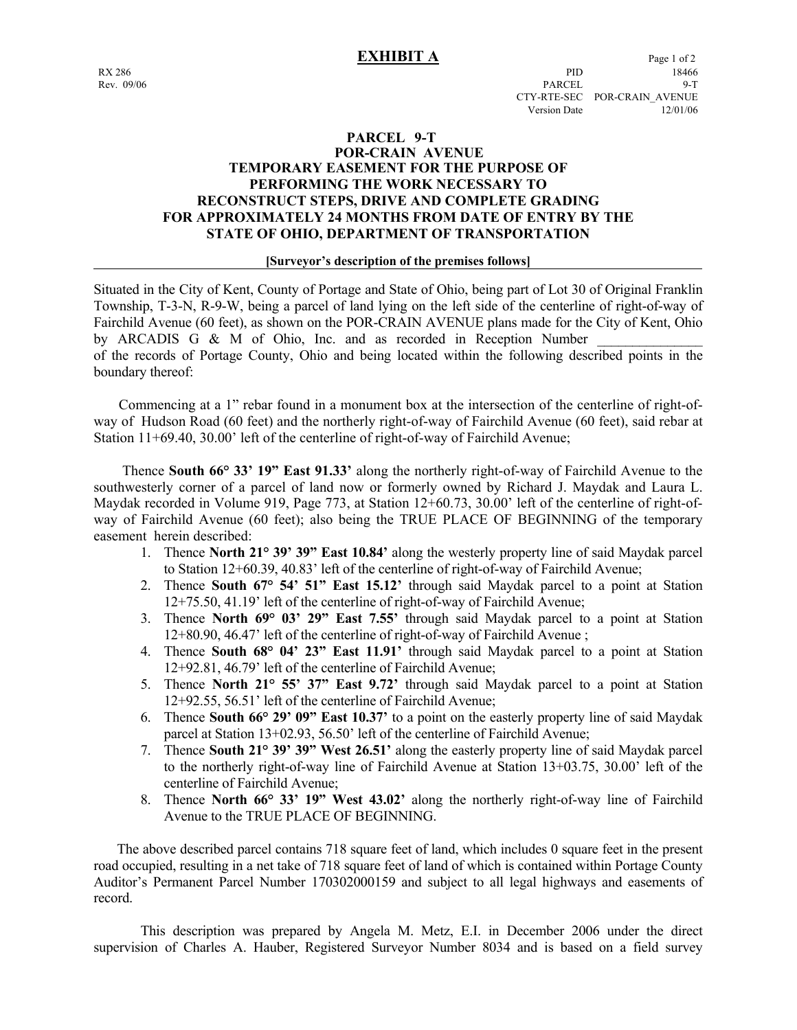# **PARCEL 9-T POR-CRAIN AVENUE TEMPORARY EASEMENT FOR THE PURPOSE OF PERFORMING THE WORK NECESSARY TO RECONSTRUCT STEPS, DRIVE AND COMPLETE GRADING FOR APPROXIMATELY 24 MONTHS FROM DATE OF ENTRY BY THE STATE OF OHIO, DEPARTMENT OF TRANSPORTATION**

### **[Surveyor's description of the premises follows]**

Situated in the City of Kent, County of Portage and State of Ohio, being part of Lot 30 of Original Franklin Township, T-3-N, R-9-W, being a parcel of land lying on the left side of the centerline of right-of-way of Fairchild Avenue (60 feet), as shown on the POR-CRAIN AVENUE plans made for the City of Kent, Ohio by ARCADIS G  $\&$  M of Ohio, Inc. and as recorded in Reception Number of the records of Portage County, Ohio and being located within the following described points in the boundary thereof:

 Commencing at a 1" rebar found in a monument box at the intersection of the centerline of right-ofway of Hudson Road (60 feet) and the northerly right-of-way of Fairchild Avenue (60 feet), said rebar at Station 11+69.40, 30.00' left of the centerline of right-of-way of Fairchild Avenue;

 Thence **South 66° 33' 19" East 91.33'** along the northerly right-of-way of Fairchild Avenue to the southwesterly corner of a parcel of land now or formerly owned by Richard J. Maydak and Laura L. Maydak recorded in Volume 919, Page 773, at Station 12+60.73, 30.00' left of the centerline of right-ofway of Fairchild Avenue (60 feet); also being the TRUE PLACE OF BEGINNING of the temporary easement herein described:

- 1. Thence **North 21° 39' 39" East 10.84'** along the westerly property line of said Maydak parcel to Station 12+60.39, 40.83' left of the centerline of right-of-way of Fairchild Avenue;
- 2. Thence **South 67° 54' 51" East 15.12'** through said Maydak parcel to a point at Station 12+75.50, 41.19' left of the centerline of right-of-way of Fairchild Avenue;
- 3. Thence **North 69° 03' 29" East 7.55'** through said Maydak parcel to a point at Station 12+80.90, 46.47' left of the centerline of right-of-way of Fairchild Avenue ;
- 4. Thence **South 68° 04' 23" East 11.91'** through said Maydak parcel to a point at Station 12+92.81, 46.79' left of the centerline of Fairchild Avenue;
- 5. Thence **North 21° 55' 37" East 9.72'** through said Maydak parcel to a point at Station 12+92.55, 56.51' left of the centerline of Fairchild Avenue;
- 6. Thence **South 66° 29' 09" East 10.37'** to a point on the easterly property line of said Maydak parcel at Station 13+02.93, 56.50' left of the centerline of Fairchild Avenue;
- 7. Thence **South 21° 39' 39" West 26.51'** along the easterly property line of said Maydak parcel to the northerly right-of-way line of Fairchild Avenue at Station 13+03.75, 30.00' left of the centerline of Fairchild Avenue;
- 8. Thence **North 66° 33' 19" West 43.02'** along the northerly right-of-way line of Fairchild Avenue to the TRUE PLACE OF BEGINNING.

 The above described parcel contains 718 square feet of land, which includes 0 square feet in the present road occupied, resulting in a net take of 718 square feet of land of which is contained within Portage County Auditor's Permanent Parcel Number 170302000159 and subject to all legal highways and easements of record.

 This description was prepared by Angela M. Metz, E.I. in December 2006 under the direct supervision of Charles A. Hauber, Registered Surveyor Number 8034 and is based on a field survey